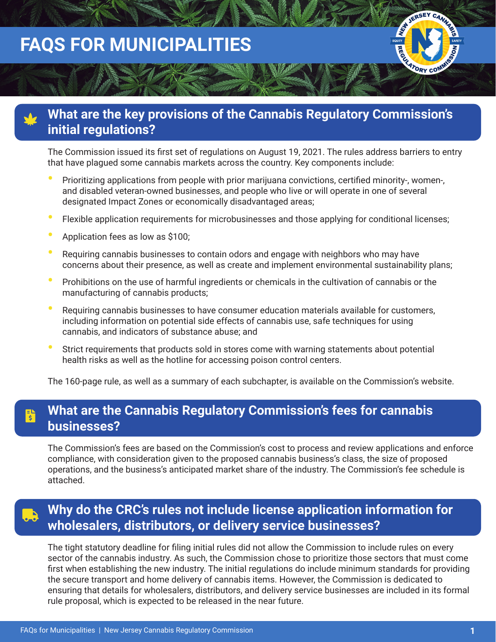# **FAQS FOR MUNICIPALITIES**

### **What are the key provisions of the Cannabis Regulatory Commission's initial regulations?**

The Commission issued its first set of regulations on August 19, 2021. The rules address barriers to entry that have plagued some cannabis markets across the country. Key components include:

- **•** Prioritizing applications from people with prior marijuana convictions, certified minority-, women-, and disabled veteran-owned businesses, and people who live or will operate in one of several designated Impact Zones or economically disadvantaged areas;
- **•** Flexible application requirements for microbusinesses and those applying for conditional licenses;
- **•** Application fees as low as \$100;
- **•** Requiring cannabis businesses to contain odors and engage with neighbors who may have concerns about their presence, as well as create and implement environmental sustainability plans;
- **•** Prohibitions on the use of harmful ingredients or chemicals in the cultivation of cannabis or the manufacturing of cannabis products;
- **•** Requiring cannabis businesses to have consumer education materials available for customers, including information on potential side effects of cannabis use, safe techniques for using cannabis, and indicators of substance abuse; and
- **•** Strict requirements that products sold in stores come with warning statements about potential health risks as well as the hotline for accessing poison control centers.

The 160-page rule, as well as a summary of each subchapter, is available on the Commission's website.

### **What are the Cannabis Regulatory Commission's fees for cannabis businesses?**

The Commission's fees are based on the Commission's cost to process and review applications and enforce compliance, with consideration given to the proposed cannabis business's class, the size of proposed operations, and the business's anticipated market share of the industry. The Commission's fee schedule is attached.

### **Why do the CRC's rules not include license application information for wholesalers, distributors, or delivery service businesses?**

The tight statutory deadline for filing initial rules did not allow the Commission to include rules on every sector of the cannabis industry. As such, the Commission chose to prioritize those sectors that must come first when establishing the new industry. The initial regulations do include minimum standards for providing the secure transport and home delivery of cannabis items. However, the Commission is dedicated to ensuring that details for wholesalers, distributors, and delivery service businesses are included in its formal rule proposal, which is expected to be released in the near future.

**FREEZIATORY COM**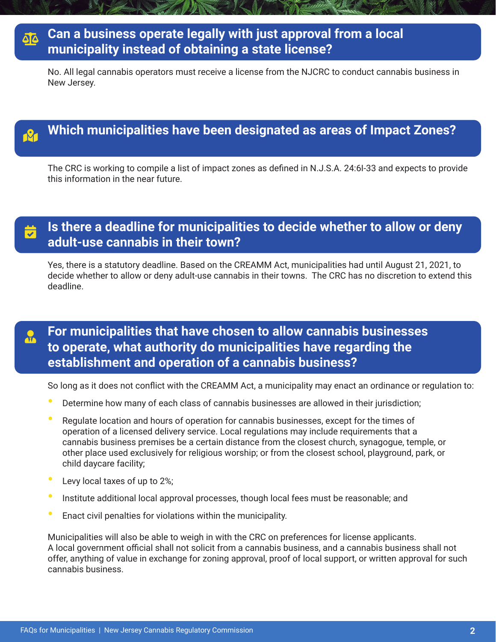### **Can a business operate legally with just approval from a local municipality instead of obtaining a state license?**

No. All legal cannabis operators must receive a license from the NJCRC to conduct cannabis business in New Jersey.

## **Which municipalities have been designated as areas of Impact Zones?**

The CRC is working to compile a list of impact zones as defined in N.J.S.A. 24:6I-33 and expects to provide this information in the near future.

 $\frac{1}{\sqrt{1}}$ 

### **Is there a deadline for municipalities to decide whether to allow or deny adult-use cannabis in their town?**

Yes, there is a statutory deadline. Based on the CREAMM Act, municipalities had until August 21, 2021, to decide whether to allow or deny adult-use cannabis in their towns. The CRC has no discretion to extend this deadline.

### **For municipalities that have chosen to allow cannabis businesses to operate, what authority do municipalities have regarding the establishment and operation of a cannabis business?**

So long as it does not conflict with the CREAMM Act, a municipality may enact an ordinance or regulation to:

- **•** Determine how many of each class of cannabis businesses are allowed in their jurisdiction;
- **•** Regulate location and hours of operation for cannabis businesses, except for the times of operation of a licensed delivery service. Local regulations may include requirements that a cannabis business premises be a certain distance from the closest church, synagogue, temple, or other place used exclusively for religious worship; or from the closest school, playground, park, or child daycare facility;
- **•** Levy local taxes of up to 2%;
- **•** Institute additional local approval processes, though local fees must be reasonable; and
- **•** Enact civil penalties for violations within the municipality.

Municipalities will also be able to weigh in with the CRC on preferences for license applicants. A local government official shall not solicit from a cannabis business, and a cannabis business shall not offer, anything of value in exchange for zoning approval, proof of local support, or written approval for such cannabis business.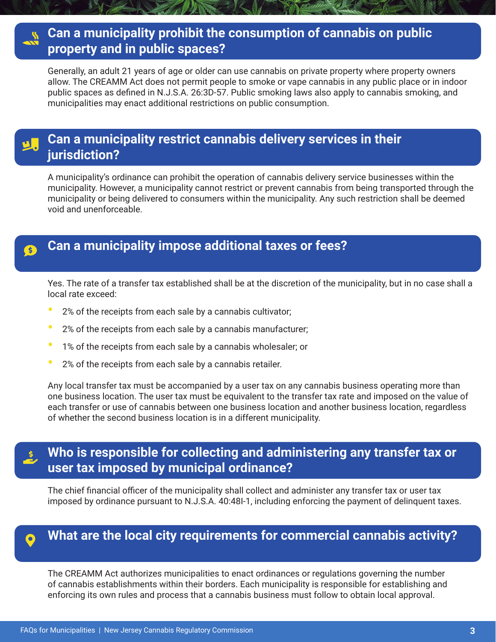### **Can a municipality prohibit the consumption of cannabis on public property and in public spaces?**

Generally, an adult 21 years of age or older can use cannabis on private property where property owners allow. The CREAMM Act does not permit people to smoke or vape cannabis in any public place or in indoor public spaces as defined in N.J.S.A. 26:3D-57. Public smoking laws also apply to cannabis smoking, and municipalities may enact additional restrictions on public consumption.

### **Can a municipality restrict cannabis delivery services in their jurisdiction?**

A municipality's ordinance can prohibit the operation of cannabis delivery service businesses within the municipality. However, a municipality cannot restrict or prevent cannabis from being transported through the municipality or being delivered to consumers within the municipality. Any such restriction shall be deemed void and unenforceable.

### **Can a municipality impose additional taxes or fees?**

Yes. The rate of a transfer tax established shall be at the discretion of the municipality, but in no case shall a local rate exceed:

- **•** 2% of the receipts from each sale by a cannabis cultivator;
- **•** 2% of the receipts from each sale by a cannabis manufacturer;
- **•** 1% of the receipts from each sale by a cannabis wholesaler; or
- **•** 2% of the receipts from each sale by a cannabis retailer.

Any local transfer tax must be accompanied by a user tax on any cannabis business operating more than one business location. The user tax must be equivalent to the transfer tax rate and imposed on the value of each transfer or use of cannabis between one business location and another business location, regardless of whether the second business location is in a different municipality.

### **Who is responsible for collecting and administering any transfer tax or user tax imposed by municipal ordinance?**

The chief financial officer of the municipality shall collect and administer any transfer tax or user tax imposed by ordinance pursuant to N.J.S.A. 40:48I-1, including enforcing the payment of delinquent taxes.

### **What are the local city requirements for commercial cannabis activity?**

The CREAMM Act authorizes municipalities to enact ordinances or regulations governing the number of cannabis establishments within their borders. Each municipality is responsible for establishing and enforcing its own rules and process that a cannabis business must follow to obtain local approval.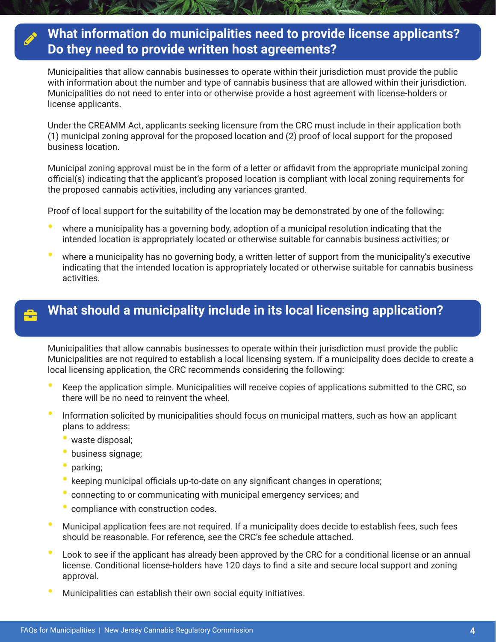### **What information do municipalities need to provide license applicants? Do they need to provide written host agreements?**

Municipalities that allow cannabis businesses to operate within their jurisdiction must provide the public with information about the number and type of cannabis business that are allowed within their jurisdiction. Municipalities do not need to enter into or otherwise provide a host agreement with license-holders or license applicants.

Under the CREAMM Act, applicants seeking licensure from the CRC must include in their application both (1) municipal zoning approval for the proposed location and (2) proof of local support for the proposed business location.

Municipal zoning approval must be in the form of a letter or affidavit from the appropriate municipal zoning official(s) indicating that the applicant's proposed location is compliant with local zoning requirements for the proposed cannabis activities, including any variances granted.

Proof of local support for the suitability of the location may be demonstrated by one of the following:

- **•** where a municipality has a governing body, adoption of a municipal resolution indicating that the intended location is appropriately located or otherwise suitable for cannabis business activities; or
- **•** where a municipality has no governing body, a written letter of support from the municipality's executive indicating that the intended location is appropriately located or otherwise suitable for cannabis business activities.

### **What should a municipality include in its local licensing application?**

Municipalities that allow cannabis businesses to operate within their jurisdiction must provide the public Municipalities are not required to establish a local licensing system. If a municipality does decide to create a local licensing application, the CRC recommends considering the following:

- **•** Keep the application simple. Municipalities will receive copies of applications submitted to the CRC, so there will be no need to reinvent the wheel.
- **•** Information solicited by municipalities should focus on municipal matters, such as how an applicant plans to address:
	- waste disposal;
	- business signage;
	- parking;
	- keeping municipal officials up-to-date on any significant changes in operations;
	- connecting to or communicating with municipal emergency services; and
	- compliance with construction codes.
- **•** Municipal application fees are not required. If a municipality does decide to establish fees, such fees should be reasonable. For reference, see the CRC's fee schedule attached.
- **•** Look to see if the applicant has already been approved by the CRC for a conditional license or an annual license. Conditional license-holders have 120 days to find a site and secure local support and zoning approval.
- **•** Municipalities can establish their own social equity initiatives.